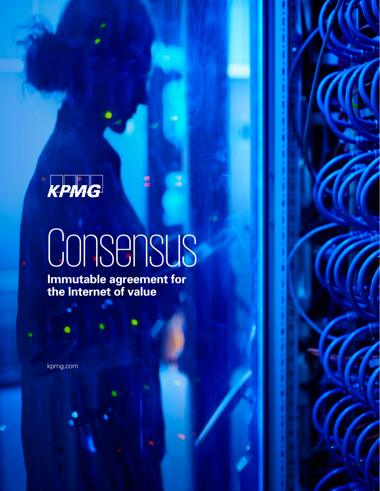## KPMG

# Consensus

w

3

**Immutable agreement for the Internet of value**

kpmg.com

G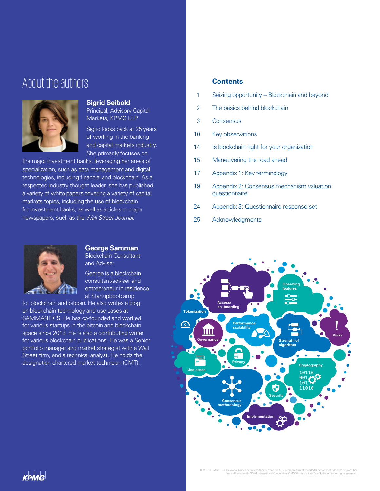### About the authors



#### **Sigrid Seibold**

Principal, Advisory Capital Markets, KPMG LLP

Sigrid looks back at 25 years of working in the banking and capital markets industry. She primarily focuses on

the major investment banks, leveraging her areas of specialization, such as data management and digital technologies, including financial and blockchain. As a respected industry thought leader, she has published a variety of white papers covering a variety of capital markets topics, including the use of blockchain for investment banks, as well as articles in major newspapers, such as the *Wall Street Journal*.



#### **George Samman**

Blockchain Consultant and Adviser

George is a blockchain consultant/adviser and entrepreneur in residence at Startupbootcamp

for blockchain and bitcoin. He also writes a blog on blockchain technology and use cases at SAMMANTICS. He has co-founded and worked for various startups in the bitcoin and blockchain space since 2013. He is also a contributing writer for various blockchain publications. He was a Senior portfolio manager and market strategist with a Wall Street firm, and a technical analyst. He holds the designation chartered market technician (CMT).

#### **Contents**

- 1 Seizing opportunity Blockchain and beyond
- 2 The basics behind blockchain
- 3 Consensus
- 10 Key observations
- 14 Is blockchain right for your organization
- 15 Maneuvering the road ahead
- 17 Appendix 1: Key terminology
- 19 Appendix 2: Consensus mechanism valuation questionnaire
- 24 Appendix 3: Questionnaire response set
- 25 Acknowledgments

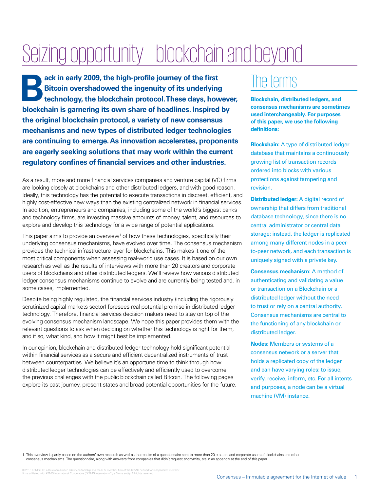## Seizing opportunity – blockchain and beyond

**Back in early 2009, the high-profile journey of the first Bitcoin overshadowed the ingenuity of its underlying technology, the blockchain protocol. These days, how Bitcoin overshadowed the ingenuity of its underlying technology, the blockchain protocol. These days, however, blockchain is garnering its own share of headlines. Inspired by the original blockchain protocol, a variety of new consensus mechanisms and new types of distributed ledger technologies are continuing to emerge. As innovation accelerates, proponents are eagerly seeking solutions that may work within the current regulatory confines of financial services and other industries.** 

As a result, more and more financial services companies and venture capital (VC) firms are looking closely at blockchains and other distributed ledgers, and with good reason. Ideally, this technology has the potential to execute transactions in discreet, efficient, and highly cost-effective new ways than the existing centralized network in financial services. In addition, entrepreneurs and companies, including some of the world's biggest banks and technology firms, are investing massive amounts of money, talent, and resources to explore and develop this technology for a wide range of potential applications.

This paper aims to provide an overview<sup>1</sup> of how these technologies, specifically their underlying consensus mechanisms, have evolved over time. The consensus mechanism provides the technical infrastructure layer for blockchains. This makes it one of the most critical components when assessing real-world use cases. It is based on our own research as well as the results of interviews with more than 20 creators and corporate users of blockchains and other distributed ledgers. We'll review how various distributed ledger consensus mechanisms continue to evolve and are currently being tested and, in some cases, implemented.

Despite being highly regulated, the financial services industry (including the rigorously scrutinized capital markets sector) foresees real potential promise in distributed ledger technology. Therefore, financial services decision makers need to stay on top of the evolving consensus mechanism landscape. We hope this paper provides them with the relevant questions to ask when deciding on whether this technology is right for them, and if so, what kind, and how it might best be implemented.

In our opinion, blockchain and distributed ledger technology hold significant potential within financial services as a secure and efficient decentralized instruments of trust between counterparties. We believe it's an opportune time to think through how distributed ledger technologies can be effectively and efficiently used to overcome the previous challenges with the public blockchain called Bitcoin. The following pages explore its past journey, present states and broad potential opportunities for the future.

## The terms

**Blockchain, distributed ledgers, and consensus mechanisms are sometimes used interchangeably. For purposes of this paper, we use the following definitions:**

**Blockchain:** A type of distributed ledger database that maintains a continuously growing list of transaction records ordered into blocks with various protections against tampering and revision.

**Distributed ledger:** A digital record of ownership that differs from traditional database technology, since there is no central administrator or central data storage; instead, the ledger is replicated among many different nodes in a peerto-peer network, and each transaction is uniquely signed with a private key.

**Consensus mechanism:** A method of authenticating and validating a value or transaction on a Blockchain or a distributed ledger without the need to trust or rely on a central authority. Consensus mechanisms are central to the functioning of any blockchain or distributed ledger.

**Nodes:** Members or systems of a consensus network or a server that holds a replicated copy of the ledger and can have varying roles: to issue, verify, receive, inform, etc. For all intents and purposes, a node can be a virtual machine (VM) instance.

1. This overview is partly based on the authors' own research as well as the results of a questionnaire sent to more than 20 creators and corporate users of blockchains and other consensus mechanisms. The questionnaire, along with answers from companies that didn't request anonymity, are in an appendix at the end of this paper.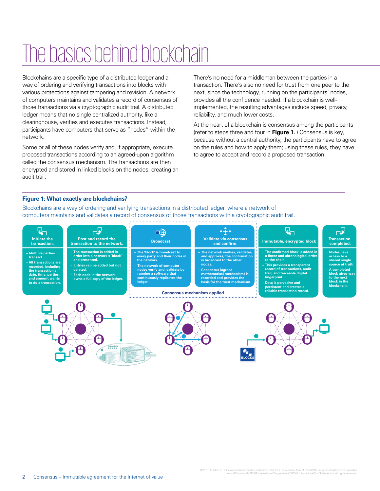## The basics behind blockchain

Blockchains are a specific type of a distributed ledger and a way of ordering and verifying transactions into blocks with various protections against tampering and revision. A network of computers maintains and validates a record of consensus of those transactions via a cryptographic audit trail. A distributed ledger means that no single centralized authority, like a clearinghouse, verifies and executes transactions. Instead, participants have computers that serve as "nodes" within the network.

Some or all of these nodes verify and, if appropriate, execute proposed transactions according to an agreed-upon algorithm called the consensus mechanism. The transactions are then encrypted and stored in linked blocks on the nodes, creating an audit trail.

There's no need for a middleman between the parties in a transaction. There's also no need for trust from one peer to the next, since the technology, running on the participants' nodes, provides all the confidence needed. If a blockchain is wellimplemented, the resulting advantages include speed, privacy, reliability, and much lower costs.

At the heart of a blockchain is consensus among the participants (refer to steps three and four in **Figure 1.** ) Consensus is key, because without a central authority, the participants have to agree on the rules and how to apply them; using these rules, they have to agree to accept and record a proposed transaction.

#### **Figure 1: What exactly are blockchains?**

Blockchains are a way of ordering and verifying transactions in a distributed ledger, where a network of computers maintains and validates a record of consensus of those transactions with a cryptographic audit trail.

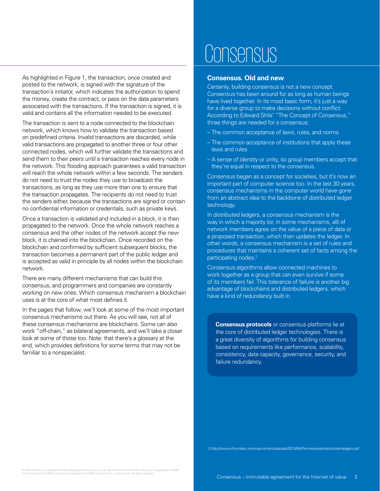As highlighted in Figure 1, the transaction, once created and posted to the network, is signed with the signature of the transaction's initiator, which indicates the authorization to spend the money, create the contract, or pass on the data parameters associated with the transactions. If the transaction is signed, it is valid and contains all the information needed to be executed.

The transaction is sent to a node connected to the blockchain network, which knows how to validate the transaction based on predefined criteria. Invalid transactions are discarded, while valid transactions are propagated to another three or four other connected nodes, which will further validate the transactions and send them to their peers until a transaction reaches every node in the network. This flooding approach guarantees a valid transaction will reach the whole network within a few seconds. The senders do not need to trust the nodes they use to broadcast the transactions, as long as they use more than one to ensure that the transaction propagates. The recipients do not need to trust the senders either, because the transactions are signed or contain no confidential information or credentials, such as private keys.

Once a transaction is validated and included in a block, it is then propagated to the network. Once the whole network reaches a consensus and the other nodes of the network accept the new block, it is chained into the blockchain. Once recorded on the blockchain and confirmed by sufficient subsequent blocks, the transaction becomes a permanent part of the public ledger and is accepted as valid in principle by all nodes within the blockchain network.

There are many different mechanisms that can build this consensus, and programmers and companies are constantly working on new ones. Which consensus mechanism a blockchain uses is at the core of what most defines it.

In the pages that follow, we'll look at some of the most important consensus mechanisms out there. As you will see, not all of these consensus mechanisms are blockchains. Some can also work "off-chain," as bilateral agreements, and we'll take a closer look at some of those too. Note: that there's a glossary at the end, which provides definitions for some terms that may not be familiar to a nonspecialist.

## **The basic basic blockchain consensus**

#### **Consensus. Old and new**

Certainly, building consensus is not a new concept. Consensus has been around for as long as human beings have lived together. In its most basic form, it's just a way for a diverse group to make decisions without conflict. According to Edward Shils' "The Concept of Consensus," three things are needed for a consensus:

- The common acceptance of laws, rules, and norms
- The common acceptance of institutions that apply these laws and rules
- A sense of identity or unity, so group members accept that they're equal in respect to the consensus.

Consensus began as a concept for societies, but it's now an important part of computer science too. In the last 30 years, consensus mechanisms in the computer world have gone from an abstract idea to the backbone of distributed ledger technology.

In distributed ledgers, a consensus mechanism is the way in which a majority (or, in some mechanisms, all) of network members agree on the value of a piece of data or a proposed transaction, which then updates the ledger. In other words, a consensus mechanism is a set of rules and procedures that maintains a coherent set of facts among the participating nodes.<sup>2</sup>

Consensus algorithms allow connected machines to work together as a group that can even survive if some of its members fail. This tolerance of failure is another big advantage of blockchains and distributed ledgers, which have a kind of redundancy built in.

**Consensus protocols** or consensus platforms lie at the core of distributed ledger technologies. There is a great diversity of algorithms for building consensus based on requirements like performance, scalability, consistency, data capacity, governance, security, and failure redundancy.

2 http://www.ofnumbers.com/wp-content/uploads/2015/04/Permissioned-distributed-ledgers.pdf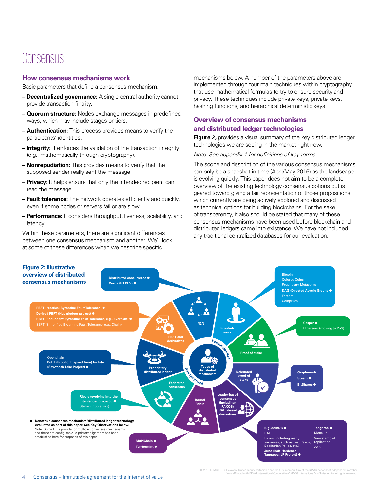### Consensus

#### **How consensus mechanisms work**

Basic parameters that define a consensus mechanism:

- **Decentralized governance:** A single central authority cannot provide transaction finality.
- **Quorum structure:** Nodes exchange messages in predefined ways, which may include stages or tiers.
- **Authentication:** This process provides means to verify the participants' identities.
- **Integrity:** It enforces the validation of the transaction integrity (e.g., mathematically through cryptography).
- **Nonrepudiation:** This provides means to verify that the supposed sender really sent the message.
- **Privacy:** It helps ensure that only the intended recipient can read the message.
- **Fault tolerance:** The network operates efficiently and quickly, even if some nodes or servers fail or are slow.
- **Performance:** It considers throughput, liveness, scalability, and latency

Within these parameters, there are significant differences between one consensus mechanism and another. We'll look at some of these differences when we describe specific

mechanisms below. A number of the parameters above are implemented through four main techniques within cryptography that use mathematical formulas to try to ensure security and privacy. These techniques include private keys, private keys, hashing functions, and hierarchical deterministic keys.

#### **Overview of consensus mechanisms and distributed ledger technologies**

**Figure 2,** provides a visual summary of the key distributed ledger technologies we are seeing in the market right now.

*Note: See appendix 1 for definitions of key terms*

The scope and description of the various consensus mechanisms can only be a snapshot in time (April/May 2016) as the landscape is evolving quickly. This paper does not aim to be a complete overview of the existing technology consensus options but is geared toward giving a fair representation of those propositions, which currently are being actively explored and discussed as technical options for building blockchains. For the sake of transparency, it also should be stated that many of these consensus mechanisms have been used before blockchain and distributed ledgers came into existence. We have not included any traditional centralized databases for our evaluation.



© 2016 KPMG LLP, a Delaware limited liability partnership and the U.S. member firm of the KPMG network of independent member<br>firms affiliated with KPMG International Cooperative ("KPMG International"), a Swiss entity. All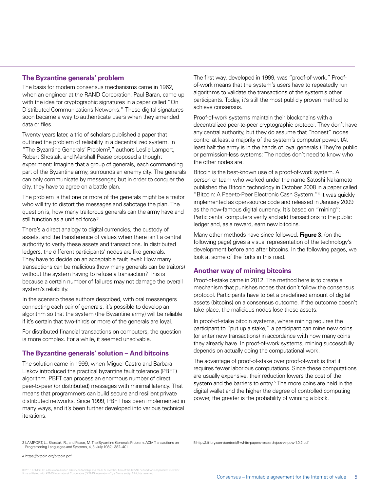#### **The Byzantine generals' problem**

The basis for modern consensus mechanisms came in 1962, when an engineer at the RAND Corporation, Paul Baran, came up with the idea for cryptographic signatures in a paper called "On Distributed Communications Networks." These digital signatures soon became a way to authenticate users when they amended data or files.

Twenty years later, a trio of scholars published a paper that outlined the problem of reliability in a decentralized system. In "The Byzantine Generals' Problem<sup>3</sup>," authors Leslie Lamport, Robert Shostak, and Marshall Pease proposed a thought experiment: Imagine that a group of generals, each commanding part of the Byzantine army, surrounds an enemy city. The generals can only communicate by messenger, but in order to conquer the city, they have to agree on a battle plan.

The problem is that one or more of the generals might be a traitor who will try to distort the messages and sabotage the plan. The question is, how many traitorous generals can the army have and still function as a unified force?

There's a direct analogy to digital currencies, the custody of assets, and the transference of values when there isn't a central authority to verify these assets and transactions. In distributed ledgers, the different participants' nodes are like generals. They have to decide on an acceptable fault level: How many transactions can be malicious (how many generals can be traitors) without the system having to refuse a transaction? This is because a certain number of failures may not damage the overall system's reliability.

In the scenario these authors described, with oral messengers connecting each pair of generals, it's possible to develop an algorithm so that the system (the Byzantine army) will be reliable if it's certain that two-thirds or more of the generals are loyal.

For distributed financial transactions on computers, the question is more complex. For a while, it seemed unsolvable.

#### **The Byzantine generals' solution – And bitcoins**

The solution came in 1999, when Miguel Castro and Barbara Liskov introduced the practical byzantine fault tolerance (PBFT) algorithm. PBFT can process an enormous number of direct peer-to-peer (or distributed) messages with minimal latency. That means that programmers can build secure and resilient private distributed networks. Since 1999, PBFT has been implemented in many ways, and it's been further developed into various technical iterations.

The first way, developed in 1999, was "proof-of-work." Proofof-work means that the system's users have to repeatedly run algorithms to validate the transactions of the system's other participants. Today, it's still the most publicly proven method to achieve consensus.

Proof-of-work systems maintain their blockchains with a decentralized peer-to-peer cryptographic protocol. They don't have any central authority, but they do assume that "honest" nodes control at least a majority of the system's computer power. (At least half the army is in the hands of loyal generals.) They're public or permission-less systems: The nodes don't need to know who the other nodes are.

Bitcoin is the best-known use of a proof-of-work system. A person or team who worked under the name Satoshi Nakamoto published the Bitcoin technology in October 2008 in a paper called "Bitcoin: A Peer-to-Peer Electronic Cash System."4 It was quickly implemented as open-source code and released in January 2009 as the now-famous digital currency. It's based on "mining": Participants' computers verify and add transactions to the public ledger and, as a reward, earn new bitcoins.

Many other methods have since followed. **Figure 3,** (on the following page) gives a visual representation of the technology's development before and after bitcoins. In the following pages, we look at some of the forks in this road.

#### **Another way of mining bitcoins**

Proof-of-stake came in 2012. The method here is to create a mechanism that punishes nodes that don't follow the consensus protocol. Participants have to bet a predefined amount of digital assets (bitcoins) on a consensus outcome. If the outcome doesn't take place, the malicious nodes lose these assets.

In proof-of-stake bitcoin systems, where mining requires the participant to "put up a stake," a participant can mine new coins (or enter new transactions) in accordance with how many coins they already have. In proof-of-work systems, mining successfully depends on actually doing the computational work.

The advantage of proof-of-stake over proof-of-work is that it requires fewer laborious computations. Since these computations are usually expensive, their reduction lowers the cost of the system and the barriers to entry.<sup>5</sup> The more coins are held in the digital wallet and the higher the degree of controlled computing power, the greater is the probability of winning a block.

5 http://bitfury.com/content/5-white-papers-research/pos-vs-pow-1.0.2.pdf

4 https://bitcoin.org/bitcoin.pdf

<sup>3</sup> LAMPORT, L., Shostak, R., and Pease, M. The Byzantine Generals Problem. ACM Transactions on Programming Languages and Systems, 4, 3 (July 1982), 382–401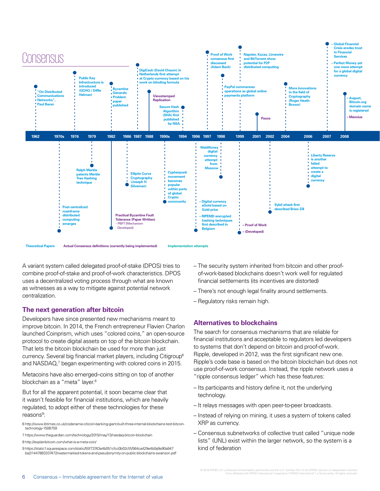

**Theoretical Papers Actual Consensus definitions (currently being implemented) Implementation attempts**

A variant system called delegated proof-of-stake (DPOS) tries to combine proof-of-stake and proof-of-work characteristics. DPOS uses a decentralized voting process through what are known as witnesses as a way to mitigate against potential network centralization.

#### **The next generation after bitcoin**

Developers have since presented new mechanisms meant to improve bitcoin. In 2014, the French entrepreneur Flavien Charlon launched Coinprism, which uses "colored coins," an open-source protocol to create digital assets on top of the bitcoin blockchain. That lets the bitcoin blockchain be used for more than just currency. Several big financial market players, including Citigroup6 and NASDAQ,7 began experimenting with colored coins in 2015.

Metacoins have also emerged–coins sitting on top of another blockchain as a "meta" layer.<sup>8</sup>

But for all the apparent potential, it soon became clear that it wasn't feasible for financial institutions, which are heavily regulated, to adopt either of these technologies for these reasons<sup>9</sup>:

6 http://www.ibtimes.co.uk/codename-citicoin-banking-giant-built-three-internal-blockchains-test-bitcointechnology-1508759

7 https://www.theguardian.com/technology/2015/may/13/nasdaq-bitcoin-blockchain

8 http://explainbitcoin.com/what-is-a-meta-coin/

9 https://static1.squarespace.com/static/55f73743e4b051cfcc0b02cf/t/564ca429e4b0a9e90a947 ba2/1447863337472/watermarked-tokens-and-pseudonymity-on-public-blockchains-swanson.pdf

- The security system inherited from bitcoin and other proofof-work-based blockchains doesn't work well for regulated financial settlements (its incentives are distorted)
- There's not enough legal finality around settlements.
- Regulatory risks remain high.

#### **Alternatives to blockchains**

The search for consensus mechanisms that are reliable for financial institutions and acceptable to regulators led developers to systems that don't depend on bitcoin and proof-of-work. Ripple, developed in 2012, was the first significant new one. Ripple's code base is based on the bitcoin blockchain but does not use proof-of-work consensus. Instead, the ripple network uses a "ripple consensus ledger" which has these features:

- Its participants and history define it, not the underlying technology.
- It relays messages with open peer-to-peer broadcasts.
- Instead of relying on mining, it uses a system of tokens called XRP as currency.
- Consensus subnetworks of collective trust called "unique node lists" (UNL) exist within the larger network, so the system is a kind of federation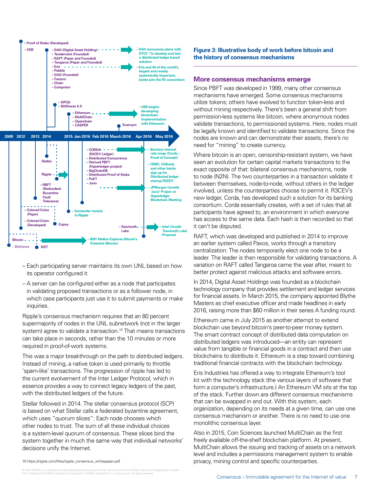

- Each participating server maintains its own UNL based on how its operator configured it
- A server can be configured either as a node that participates in validating proposed transactions or as a follower node, in which case participants just use it to submit payments or make inquiries.

Ripple's consensus mechanism requires that an 80 percent supermajority of nodes in the UNL subnetwork (not in the larger system) agree to validate a transaction.<sup>10</sup> That means transactions can take place in seconds, rather than the 10 minutes or more required in proof-of-work systems.

This was a major breakthrough on the path to distributed ledgers. Instead of mining, a native token is used primarily to throttle 'spam-like' transactions. The progression of ripple has led to the current evolvement of the Inter Ledger Protocol, which in essence provides a way to connect legacy ledgers of the past, with the distributed ledgers of the future.

Stellar followed in 2014. The stellar consensus protocol (SCP) is based on what Stellar calls a federated byzantine agreement, which uses "quorum slices": Each node chooses which other nodes to trust. The sum of all these individual choices is a system-level quorum of consensus. These slices bind the system together in much the same way that individual networks' decisions unify the Internet.

**Figure 3: Illustrative body of work before bitcoin and the history of consensus mechanisms**

#### **More consensus mechanisms emerge**

Since PBFT was developed in 1999, many other consensus mechanisms have emerged. Some consensus mechanisms utilize tokens; others have evolved to function token-less and without mining respectively. There's been a general shift from permission-less systems like bitcoin, where anonymous nodes validate transactions, to permissioned systems. Here, nodes must be legally known and identified to validate transactions. Since the nodes are known and can demonstrate their assets, there's no need for "mining" to create currency.

Where bitcoin is an open, censorship-resistant system, we have seen an evolution for certain capital markets transactions to the exact opposite of that: bilateral consensus mechanisms, node to node (N2N). The two counterparties in a transaction validate it between themselves, node-to-node, without others in the ledger involved, unless the counterparties choose to permit it. R3CEV's new ledger, Corda, has developed such a solution for its banking consortium. Corda essentially creates, with a set of rules that all participants have agreed to, an environment in which everyone has access to the same data. Each hash is then recorded so that it can't be disputed.

RAFT, which was developed and published in 2014 to improve an earlier system called Paxos, works through a transitory centralization: The nodes temporarily elect one node to be a leader. The leader is then responsible for validating transactions. A variation on RAFT called Tangaroa came the year after, meant to better protect against malicious attacks and software errors.

In 2014, Digital Asset Holdings was founded as a blockchain technology company that provides settlement and ledger services for financial assets. In March 2015, the company appointed Blythe Masters as chief executive officer and made headlines in early 2016, raising more than \$60 million in their series A funding round.

Ethereum came in July 2015 as another attempt to extend blockchain use beyond bitcoin's peer-to-peer money system. The smart contract concept of distributed data computation on distributed ledgers was introduced—an entity can represent value from tangible or financial goods in a contract and then use blockchains to distribute it. Ethereum is a step toward combining traditional financial contracts with the blockchain technology.

Eris Industries has offered a way to integrate Ethereum's tool kit with the technology stack (the various layers of software that form a computer's infrastructure.) An Ethereum VM sits at the top of the stack. Further down are different consensus mechanisms that can be swapped in and out. With this system, each organization, depending on its needs at a given time, can use one consensus mechanism or another. There is no need to use one monolithic consensus layer.

Also in 2015, Coin Sciences launched MultiChain as the first freely available off-the-shelf blockchain platform. At present, MultiChain allows the issuing and tracking of assets on a network level and includes a permissions management system to enable 10 https://ripple.com/files/ripple\_consensus\_whitepaper.pdf privacy, mining control and specific counterparties.

© 2016 KPMG LLP, a Delaware limited liability partnership and the U.S. member firm of the KPMG network of independent member<br>firms affiliated with KPMG International Cooperative ("KPMG International"), a Swiss entity. All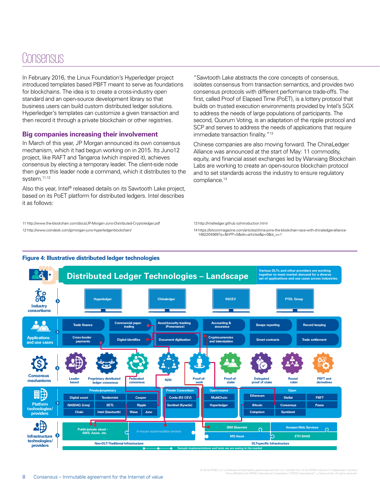### Consensus

In February 2016, the Linux Foundation's Hyperledger project introduced templates based PBFT meant to serve as foundations for blockchains. The idea is to create a cross-industry open standard and an open-source development library so that business users can build custom distributed ledger solutions. Hyperledger's templates can customize a given transaction and then record it through a private blockchain or other registries.

#### **Big companies increasing their involvement**

In March of this year, JP Morgan announced its own consensus mechanism, which it had begun working on in 2015. Its Juno12 project, like RAFT and Tangaroa (which inspired it), achieves consensus by electing a temporary leader. The client-side node then gives this leader node a command, which it distributes to the system.<sup>11,12</sup>

Also this year, Intel® released details on its Sawtooth Lake project, based on its PoET platform for distributed ledgers. Intel describes it as follows:

11 http://www.the-blockchain.com/docs/JP-Morgan-Juno-Distributed-Cryptoledger.pdf 12 http://www.coindesk.com/jpmorgan-juno-hyperledger-blockchain/

"Sawtooth Lake abstracts the core concepts of consensus, isolates consensus from transaction semantics, and provides two consensus protocols with different performance trade-offs. The first, called Proof of Elapsed Time (PoET), is a lottery protocol that builds on trusted execution environments provided by Intel's SGX to address the needs of large populations of participants. The second, Quorum Voting, is an adaptation of the ripple protocol and SCP and serves to address the needs of applications that require immediate transaction finality."<sup>13</sup>

Chinese companies are also moving forward. The ChinaLedger Alliance was announced at the start of May: 11 commodity, equity, and financial asset exchanges led by Wanxiang Blockchain Labs are working to create an open-source blockchain protocol and to set standards across the industry to ensure regulatory compliance.14

13 http://intelledger.github.io/introduction.html

14 https://bitcoinmagazine.com/articles/china-joins-the-blockchain-race-with-chinaledger-alliance-1462204569?q=&hPP=5&idx=articles&p=0&is\_v=1



#### **Figure 4: Illustrative distributed ledger technologies**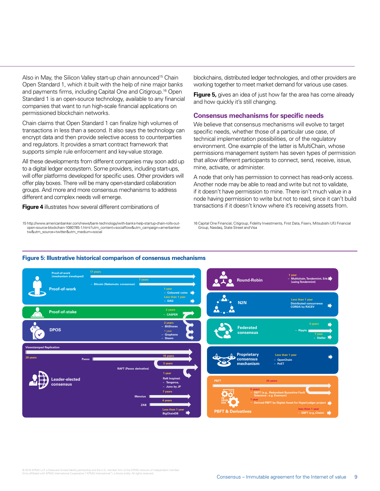Also in May, the Silicon Valley start-up chain announced<sup>15</sup> Chain Open Standard 1, which it built with the help of nine major banks and payments firms, including Capital One and Citigroup.16 Open Standard 1 is an open-source technology, available to any financial companies that want to run high-scale financial applications on permissioned blockchain networks.

Chain claims that Open Standard 1 can finalize high volumes of transactions in less than a second. It also says the technology can encrypt data and then provide selective access to counterparties and regulators. It provides a smart contract framework that supports simple rule enforcement and key-value storage.

All these developments from different companies may soon add up to a digital ledger ecosystem. Some providers, including start-ups, will offer platforms developed for specific uses. Other providers will offer play boxes. There will be many open-standard collaboration groups. And more and more consensus mechanisms to address different and complex needs will emerge.

**Figure 4** illustrates how several different combinations of

15 http://www.americanbanker.com/news/bank-technology/with-banks-help-startup-chain-rolls-outopen-source-blockchain-1080785-1.html?utm\_content=socialflow&utm\_campaign=amerbankertw&utm\_source=twitter&utm\_medium=social

blockchains, distributed ledger technologies, and other providers are working together to meet market demand for various use cases.

**Figure 5,** gives an idea of just how far the area has come already and how quickly it's still changing.

#### **Consensus mechanisms for specific needs**

We believe that consensus mechanisms will evolve to target specific needs, whether those of a particular use case, of technical implementation possibilities, or of the regulatory environment. One example of the latter is MultiChain, whose permissions management system has seven types of permission that allow different participants to connect, send, receive, issue, mine, activate, or administer.

A node that only has permission to connect has read-only access. Another node may be able to read and write but not to validate, if it doesn't have permission to mine. There isn't much value in a node having permission to write but not to read, since it can't build transactions if it doesn't know where it's receiving assets from.

16 Capital One Financial, Citigroup, Fidelity Investments, First Data, Fiserv, Mitsubishi UFJ Financial Group, Nasdaq, State Street and Visa



#### **Figure 5: Illustrative historical comparison of consensus mechanisms**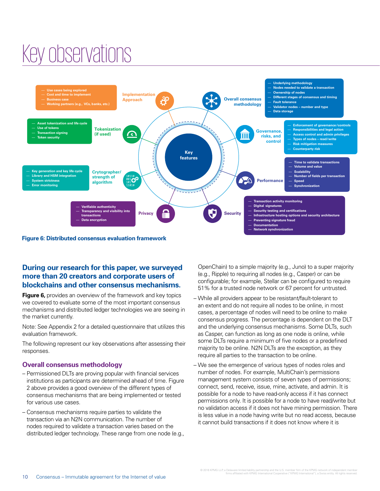## Key observations



#### **During our research for this paper, we surveyed more than 20 creators and corporate users of blockchains and other consensus mechanisms.**

**Figure 6,** provides an overview of the framework and key topics we covered to evaluate some of the most important consensus mechanisms and distributed ledger technologies we are seeing in the market currently.

Note: See Appendix 2 for a detailed questionnaire that utilizes this evaluation framework.

The following represent our key observations after assessing their responses.

#### **Overall consensus methodology**

- Permissioned DLTs are proving popular with financial services institutions as participants are determined ahead of time. Figure 2 above provides a good overview of the different types of consensus mechanisms that are being implemented or tested for various use cases.
- Consensus mechanisms require parties to validate the transaction via an N2N communication. The number of nodes required to validate a transaction varies based on the distributed ledger technology. These range from one node (e.g.,

OpenChain) to a simple majority (e.g., Juno) to a super majority (e.g., Ripple) to requiring all nodes (e.g., Casper) or can be configurable; for example, Stellar can be configured to require 51% for a trusted node network or 67 percent for untrusted.

- While all providers appear to be resistant/fault-tolerant to an extent and do not require all nodes to be online, in most cases, a percentage of nodes will need to be online to make consensus progress. The percentage is dependent on the DLT and the underlying consensus mechanisms. Some DLTs, such as Casper, can function as long as one node is online, while some DLTs require a minimum of five nodes or a predefined majority to be online. N2N DLTs are the exception, as they require all parties to the transaction to be online.
- We see the emergence of various types of nodes roles and number of nodes. For example, MultiChain's permissions management system consists of seven types of permissions; connect, send, receive, issue, mine, activate, and admin. It is possible for a node to have read-only access if it has connect permissions only. It is possible for a node to have read/write but no validation access if it does not have mining permission. There is less value in a node having write but no read access, because it cannot build transactions if it does not know where it is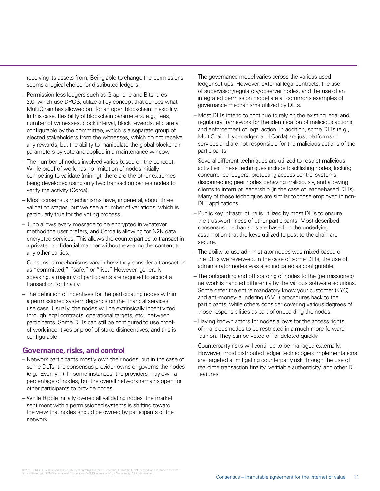receiving its assets from. Being able to change the permissions seems a logical choice for distributed ledgers.

- Permission-less ledgers such as Graphene and Bitshares 2.0, which use DPOS, utilize a key concept that echoes what MultiChain has allowed but for an open blockchain: Flexibility. In this case, flexibility of blockchain parameters, e.g., fees, number of witnesses, block interval, block rewards, etc. are all configurable by the committee, which is a separate group of elected stakeholders from the witnesses, which do not receive any rewards, but the ability to manipulate the global blockchain parameters by vote and applied in a maintenance window.
- The number of nodes involved varies based on the concept. While proof-of-work has no limitation of nodes initially competing to validate (mining), there are the other extremes being developed using only two transaction parties nodes to verify the activity (Corda).
- Most consensus mechanisms have, in general, about three validation stages, but we see a number of variations, which is particularly true for the voting process.
- Juno allows every message to be encrypted in whatever method the user prefers, and Corda is allowing for N2N data encrypted services. This allows the counterparties to transact in a private, confidential manner without revealing the content to any other parties.
- Consensus mechanisms vary in how they consider a transaction as "committed," "safe," or "live." However, generally speaking, a majority of participants are required to accept a transaction for finality.
- The definition of incentives for the participating nodes within a permissioned system depends on the financial services use case. Usually, the nodes will be extrinsically incentivized through legal contracts, operational targets, etc., between participants. Some DLTs can still be configured to use proofof-work incentives or proof-of-stake disincentives, and this is configurable.

#### **Governance, risks, and control**

- Network participants mostly own their nodes, but in the case of some DLTs, the consensus provider owns or governs the nodes (e.g., Evernym). In some instances, the providers may own a percentage of nodes, but the overall network remains open for other participants to provide nodes.
- While Ripple initially owned all validating nodes, the market sentiment within permissioned systems is shifting toward the view that nodes should be owned by participants of the network.
- The governance model varies across the various used ledger set-ups. However, external legal contracts, the use of supervision/regulatory/observer nodes, and the use of an integrated permission model are all commons examples of governance mechanisms utilized by DLTs.
- Most DLTs intend to continue to rely on the existing legal and regulatory framework for the identification of malicious actions and enforcement of legal action. In addition, some DLTs (e.g., MultiChain, Hyperledger, and Corda) are just platforms or services and are not responsible for the malicious actions of the participants.
- Several different techniques are utilized to restrict malicious activities. These techniques include blacklisting nodes, locking concurrence ledgers, protecting access control systems, disconnecting peer nodes behaving maliciously, and allowing clients to interrupt leadership (in the case of leader-based DLTs). Many of these techniques are similar to those employed in non-DLT applications.
- Public key infrastructure is utilized by most DLTs to ensure the trustworthiness of other participants. Most described consensus mechanisms are based on the underlying assumption that the keys utilized to post to the chain are secure.
- The ability to use administrator nodes was mixed based on the DLTs we reviewed. In the case of some DLTs, the use of administrator nodes was also indicated as configurable.
- The onboarding and offboarding of nodes to the (permissioned) network is handled differently by the various software solutions. Some defer the entire mandatory know your customer (KYC) and anti-money-laundering (AML) procedures back to the participants, while others consider covering various degrees of those responsibilities as part of onboarding the nodes.
- Having known actors for nodes allows for the access rights of malicious nodes to be restricted in a much more forward fashion. They can be voted off or deleted quickly.
- Counterparty risks will continue to be managed externally. However, most distributed ledger technologies implementations are targeted at mitigating counterparty risk through the use of real-time transaction finality, verifiable authenticity, and other DL features.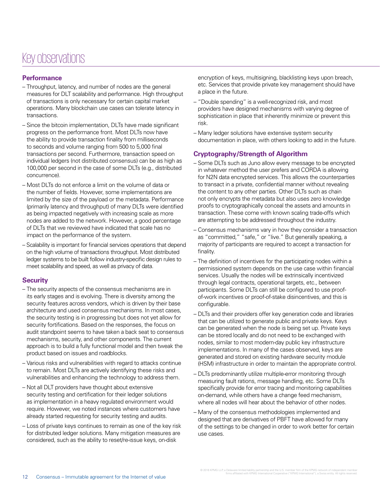### Key observations

#### **Performance**

- Throughput, latency, and number of nodes are the general measures for DLT scalability and performance. High throughput of transactions is only necessary for certain capital market operations. Many blockchain use cases can tolerate latency in transactions.
- Since the bitcoin implementation, DLTs have made significant progress on the performance front. Most DLTs now have the ability to provide transaction finality from milliseconds to seconds and volume ranging from 500 to 5,000 final transactions per second. Furthermore, transaction speed on individual ledgers (not distributed consensus) can be as high as 100,000 per second in the case of some DLTs (e.g., distributed concurrence).
- Most DLTs do not enforce a limit on the volume of data or the number of fields. However, some implementations are limited by the size of the payload or the metadata. Performance (primarily latency and throughput) of many DLTs were identified as being impacted negatively with increasing scale as more nodes are added to the network. However, a good percentage of DLTs that we reviewed have indicated that scale has no impact on the performance of the system.
- Scalability is important for financial services operations that depend on the high volume of transactions throughput. Most distributed ledger systems to be built follow industry-specific design rules to meet scalability and speed, as well as privacy of data.

#### **Security**

- The security aspects of the consensus mechanisms are in its early stages and is evolving. There is diversity among the security features across vendors, which is driven by their base architecture and used consensus mechanisms. In most cases, the security testing is in progressing but does not yet allow for security fortifications. Based on the responses, the focus on audit standpoint seems to have taken a back seat to consensus mechanisms, security, and other components. The current approach is to build a fully functional model and then tweak the product based on issues and roadblocks.
- Various risks and vulnerabilities with regard to attacks continue to remain. Most DLTs are actively identifying these risks and vulnerabilities and enhancing the technology to address them.
- Not all DLT providers have thought about extensive security testing and certification for their ledger solutions as implementation in a heavy regulated environment would require. However, we noted instances where customers have already started requesting for security testing and audits.
- Loss of private keys continues to remain as one of the key risk for distributed ledger solutions. Many mitigation measures are considered, such as the ability to reset/re-issue keys, on-disk

encryption of keys, multisigning, blacklisting keys upon breach, etc. Services that provide private key management should have a place in the future.

- "Double spending" is a well-recognized risk, and most providers have designed mechanisms with varying degree of sophistication in place that inherently minimize or prevent this risk.
- Many ledger solutions have extensive system security documentation in place, with others looking to add in the future.

#### **Cryptography/Strength of Algorithm**

- Some DLTs such as Juno allow every message to be encrypted in whatever method the user prefers and CORDA is allowing for N2N data encrypted services. This allows the counterparties to transact in a private, confidential manner without revealing the content to any other parties. Other DLTs such as chain not only encrypts the metadata but also uses zero knowledge proofs to cryptographically conceal the assets and amounts in transaction. These come with known scaling trade-offs which are attempting to be addressed throughout the industry.
- Consensus mechanisms vary in how they consider a transaction as "committed," "safe," or "live." But generally speaking, a majority of participants are required to accept a transaction for finality.
- The definition of incentives for the participating nodes within a permissioned system depends on the use case within financial services. Usually the nodes will be extrinsically incentivized through legal contracts, operational targets, etc., between participants. Some DLTs can still be configured to use proofof-work incentives or proof-of-stake disincentives, and this is configurable.
- DLTs and their providers offer key generation code and libraries that can be utilized to generate public and private keys. Keys can be generated when the node is being set up. Private keys can be stored locally and do not need to be exchanged with nodes, similar to most modern-day public key infrastructure implementations. In many of the cases observed, keys are generated and stored on existing hardware security module (HSM) infrastructure in order to maintain the appropriate control.
- DLTs predominantly utilize multiple-error monitoring through measuring fault rations, message handling, etc. Some DLTs specifically provide for error tracing and monitoring capabilities on-demand, while others have a change feed mechanism, where all nodes will hear about the behavior of other nodes.
- Many of the consensus methodologies implemented and designed that are derivatives of PBFT have allowed for many of the settings to be changed in order to work better for certain use cases.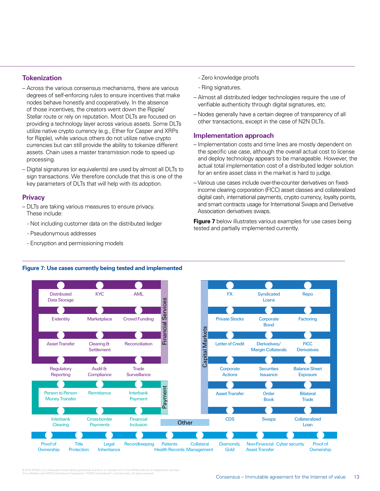#### **Tokenization**

- Across the various consensus mechanisms, there are various degrees of self-enforcing rules to ensure incentives that make nodes behave honestly and cooperatively. In the absence of those incentives, the creators went down the Ripple/ Stellar route or rely on reputation. Most DLTs are focused on providing a technology layer across various assets. Some DLTs utilize native crypto currency (e.g., Ether for Casper and XRPs for Ripple), while various others do not utilize native crypto currencies but can still provide the ability to tokenize different assets. Chain uses a master transmission node to speed up processing.
- Digital signatures (or equivalents) are used by almost all DLTs to sign transactions. We therefore conclude that this is one of the key parameters of DLTs that will help with its adoption.

#### **Privacy**

- DLTs are taking various measures to ensure privacy. These include:
	- Not including customer data on the distributed ledger
	- Pseudonymous addresses
	- Encryption and permissioning models
- Zero knowledge proofs
- Ring signatures.
- Almost all distributed ledger technologies require the use of verifiable authenticity through digital signatures, etc.
- Nodes generally have a certain degree of transparency of all other transactions, except in the case of N2N DLTs.

#### **Implementation approach**

- Implementation costs and time lines are mostly dependent on the specific use case, although the overall actual cost to license and deploy technology appears to be manageable. However, the actual total implementation cost of a distributed ledger solution for an entire asset class in the market is hard to judge.
- Various use cases include over-the-counter derivatives on fixedincome clearing corporation (FICC) asset classes and collateralized digital cash, international payments, crypto currency, loyalty points, and smart contracts usage for International Swaps and Derivative Association derivatives swaps.

**Figure 7** below illustrates various examples for use cases being tested and partially implemented currently.



#### **Figure 7: Use cases currently being tested and implemented**

© 2016 KPMG LLP, a Delaware limited liability partnership and the U.S. member firm of the KPMG network of independent member<br>firms affiliated with KPMG International Cooperative ("KPMG International"), a Swiss entity. All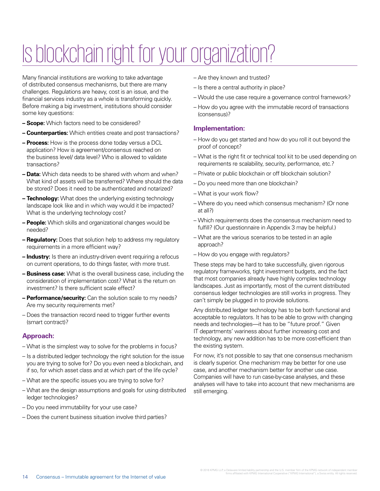## Is blockchain right for your organization?

Many financial institutions are working to take advantage of distributed consensus mechanisms, but there are many challenges. Regulations are heavy, cost is an issue, and the financial services industry as a whole is transforming quickly. Before making a big investment, institutions should consider some key questions:

- **Scope:** Which factors need to be considered?
- **Counterparties:** Which entities create and post transactions?
- **Process:** How is the process done today versus a DCL application? How is agreement/consensus reached on the business level/ data level? Who is allowed to validate transactions?
- **Data:** Which data needs to be shared with whom and when? What kind of assets will be transferred? Where should the data be stored? Does it need to be authenticated and notarized?
- **Technology:** What does the underlying existing technology landscape look like and in which way would it be impacted? What is the underlying technology cost?
- **People:** Which skills and organizational changes would be needed?
- **Regulatory:** Does that solution help to address my regulatory requirements in a more efficient way?
- **Industry:** Is there an industry-driven event requiring a refocus on current operations, to do things faster, with more trust.
- **Business case:** What is the overall business case, including the consideration of implementation cost? What is the return on investment? Is there sufficient scale effect?
- **Performance/security:** Can the solution scale to my needs? Are my security requirements met?
- Does the transaction record need to trigger further events (smart contract)?

#### **Approach:**

- What is the simplest way to solve for the problems in focus?
- Is a distributed ledger technology the right solution for the issue you are trying to solve for? Do you even need a blockchain, and if so, for which asset class and at which part of the life cycle?
- What are the specific issues you are trying to solve for?
- What are the design assumptions and goals for using distributed ledger technologies?
- Do you need immutability for your use case?
- Does the current business situation involve third parties?
- Are they known and trusted?
- Is there a central authority in place?
- Would the use case require a governance control framework?
- How do you agree with the immutable record of transactions (consensus)?

#### **Implementation:**

- How do you get started and how do you roll it out beyond the proof of concept?
- What is the right fit or technical tool kit to be used depending on requirements re scalability, security, performance, etc.?
- Private or public blockchain or off blockchain solution?
- Do you need more than one blockchain?
- What is your work flow?
- Where do you need which consensus mechanism? (Or none at all?)
- Which requirements does the consensus mechanism need to fulfill? (Our questionnaire in Appendix 3 may be helpful.)
- What are the various scenarios to be tested in an agile approach?
- How do you engage with regulators?

These steps may be hard to take successfully, given rigorous regulatory frameworks, tight investment budgets, and the fact that most companies already have highly complex technology landscapes. Just as importantly, most of the current distributed consensus ledger technologies are still works in progress. They can't simply be plugged in to provide solutions.

Any distributed ledger technology has to be both functional and acceptable to regulators. It has to be able to grow with changing needs and technologies—it has to be "future proof." Given IT departments' wariness about further increasing cost and technology, any new addition has to be more cost-efficient than the existing system.

For now, it's not possible to say that one consensus mechanism is clearly superior. One mechanism may be better for one use case, and another mechanism better for another use case. Companies will have to run case-by-case analyses, and these analyses will have to take into account that new mechanisms are still emerging.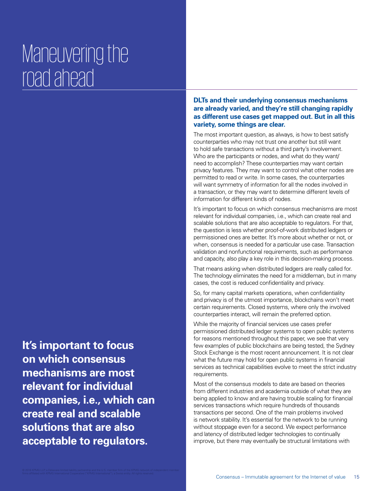## Maneuvering the road ahead

**It's important to focus on which consensus mechanisms are most relevant for individual companies, i.e., which can create real and scalable solutions that are also acceptable to regulators.** 

#### **DLTs and their underlying consensus mechanisms are already varied, and they're still changing rapidly as different use cases get mapped out. But in all this variety, some things are clear.**

The most important question, as always, is how to best satisfy counterparties who may not trust one another but still want to hold safe transactions without a third party's involvement. Who are the participants or nodes, and what do they want/ need to accomplish? These counterparties may want certain privacy features. They may want to control what other nodes are permitted to read or write. In some cases, the counterparties will want symmetry of information for all the nodes involved in a transaction, or they may want to determine different levels of information for different kinds of nodes.

It's important to focus on which consensus mechanisms are most relevant for individual companies, i.e., which can create real and scalable solutions that are also acceptable to regulators. For that, the question is less whether proof-of-work distributed ledgers or permissioned ones are better. It's more about whether or not, or when, consensus is needed for a particular use case. Transaction validation and nonfunctional requirements, such as performance and capacity, also play a key role in this decision-making process.

That means asking when distributed ledgers are really called for. The technology eliminates the need for a middleman, but in many cases, the cost is reduced confidentiality and privacy.

So, for many capital markets operations, when confidentiality and privacy is of the utmost importance, blockchains won't meet certain requirements. Closed systems, where only the involved counterparties interact, will remain the preferred option.

While the majority of financial services use cases prefer permissioned distributed ledger systems to open public systems for reasons mentioned throughout this paper, we see that very few examples of public blockchains are being tested, the Sydney Stock Exchange is the most recent announcement. It is not clear what the future may hold for open public systems in financial services as technical capabilities evolve to meet the strict industry requirements.

Most of the consensus models to date are based on theories from different industries and academia outside of what they are being applied to know and are having trouble scaling for financial services transactions which require hundreds of thousands transactions per second. One of the main problems involved is network stability. It's essential for the network to be running without stoppage even for a second. We expect performance and latency of distributed ledger technologies to continually improve, but there may eventually be structural limitations with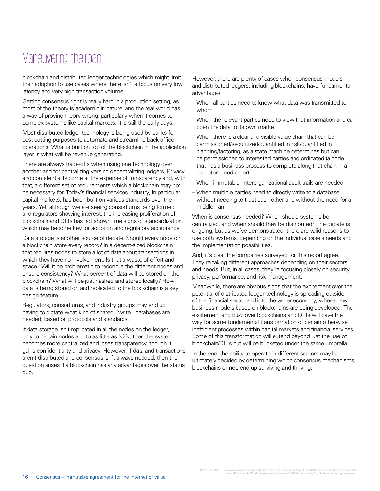### Maneuvering the road

blockchain and distributed ledger technologies which might limit their adoption to use cases where there isn't a focus on very low latency and very high transaction volume.

Getting consensus right is really hard in a production setting, as most of the theory is academic in nature, and the real world has a way of proving theory wrong, particularly when it comes to complex systems like capital markets. It is still the early days.

Most distributed ledger technology is being used by banks for cost-cutting purposes to automate and streamline back-office operations. What is built on top of the blockchain in the application layer is what will be revenue generating.

There are always trade-offs when using one technology over another and for centralizing versing decentralizing ledgers. Privacy and confidentiality come at the expense of transparency and, with that, a different set of requirements which a blockchain may not be necessary for. Today's financial services industry, in particular capital markets, has been built on various standards over the years. Yet, although we are seeing consortiums being formed and regulators showing interest, the increasing proliferation of blockchain and DLTs has not shown true signs of standardization, which may become key for adoption and regulatory acceptance.

Data storage is another source of debate. Should every node on a blockchain store every record? In a decent-sized blockchain that requires nodes to store a lot of data about transactions in which they have no involvement. Is that a waste of effort and space? Will it be problematic to reconcile the different nodes and ensure consistency? What percent of data will be stored on the blockchain? What will be just hashed and stored locally? How data is being stored on and replicated to the blockchain is a key design feature.

Regulators, consortiums, and industry groups may end up having to dictate what kind of shared "write" databases are needed, based on protocols and standards.

If data storage isn't replicated in all the nodes on the ledger, only to certain nodes and to as little as N2N, then the system becomes more centralized and loses transparency, though it gains confidentiality and privacy. However, if data and transactions aren't distributed and consensus isn't always needed, then the question arises if a blockchain has any advantages over the status quo.

However, there are plenty of cases when consensus models and distributed ledgers, including blockchains, have fundamental advantages:

- When all parties need to know what data was transmitted to whom
- When the relevant parties need to view that information and can open the data to its own market
- When there is a clear and visible value chain that can be permissioned/securitized/quantified in risk/quantified in planning/factoring, as a state machine determines but can be permissioned to interested parties and ordinated (a node that has a business process to complete along that chain in a predetermined order)
- When immutable, interorganizational audit trails are needed
- When multiple parties need to directly write to a database without needing to trust each other and without the need for a middleman.

When is consensus needed? When should systems be centralized, and when should they be distributed? The debate is ongoing, but as we've demonstrated, there are valid reasons to use both systems, depending on the individual case's needs and the implementation possibilities.

And, it's clear the companies surveyed for this report agree. They're taking different approaches depending on their sectors and needs. But, in all cases, they're focusing closely on security, privacy, performance, and risk management.

Meanwhile, there are obvious signs that the excitement over the potential of distributed ledger technology is spreading outside of the financial sector and into the wider economy, where new business models based on blockchains are being developed. The excitement and buzz over blockchains and DLTs will pave the way for some fundamental transformation of certain otherwise inefficient processes within capital markets and financial services. Some of this transformation will extend beyond just the use of blockchain/DLTs but will be bucketed under the same umbrella.

In the end, the ability to operate in different sectors may be ultimately decided by determining which consensus mechanisms, blockchains or not, end up surviving and thriving.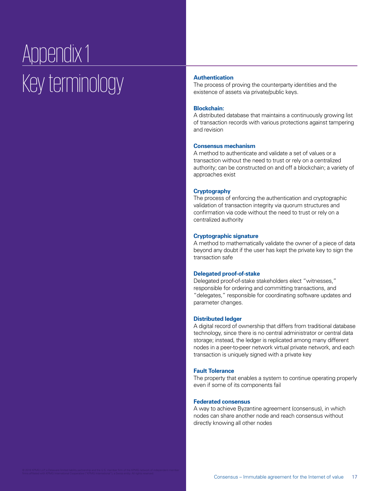## Appendix 1 **Key terminology**

The process of proving the counterparty identities and the existence of assets via private/public keys.

#### **Blockchain:**

A distributed database that maintains a continuously growing list of transaction records with various protections against tampering and revision

#### **Consensus mechanism**

A method to authenticate and validate a set of values or a transaction without the need to trust or rely on a centralized authority; can be constructed on and off a blockchain; a variety of approaches exist

#### **Cryptography**

The process of enforcing the authentication and cryptographic validation of transaction integrity via quorum structures and confirmation via code without the need to trust or rely on a centralized authority

#### **Cryptographic signature**

A method to mathematically validate the owner of a piece of data beyond any doubt if the user has kept the private key to sign the transaction safe

#### **Delegated proof-of-stake**

Delegated proof-of-stake stakeholders elect "witnesses," responsible for ordering and committing transactions, and "delegates," responsible for coordinating software updates and parameter changes.

#### **Distributed ledger**

A digital record of ownership that differs from traditional database technology, since there is no central administrator or central data storage; instead, the ledger is replicated among many different nodes in a peer-to-peer network virtual private network, and each transaction is uniquely signed with a private key

#### **Fault Tolerance**

The property that enables a system to continue operating properly even if some of its components fail

#### **Federated consensus**

A way to achieve Byzantine agreement (consensus), in which nodes can share another node and reach consensus without directly knowing all other nodes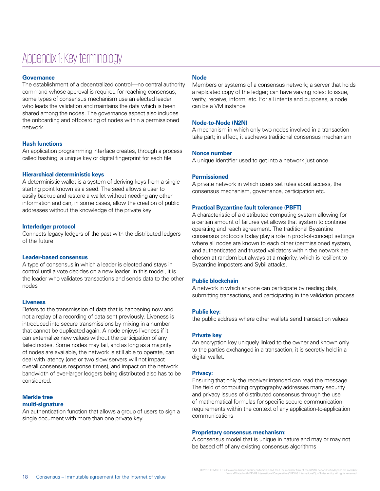### Appendix 1: Key terminology

#### **Governance**

The establishment of a decentralized control—no central authority command whose approval is required for reaching consensus; some types of consensus mechanism use an elected leader who leads the validation and maintains the data which is been shared among the nodes. The governance aspect also includes the onboarding and offboarding of nodes within a permissioned network.

#### **Hash functions**

An application programming interface creates, through a process called hashing, a unique key or digital fingerprint for each file

#### **Hierarchical deterministic keys**

A deterministic wallet is a system of deriving keys from a single starting point known as a seed. The seed allows a user to easily backup and restore a wallet without needing any other information and can, in some cases, allow the creation of public addresses without the knowledge of the private key

#### **Interledger protocol**

Connects legacy ledgers of the past with the distributed ledgers of the future

#### **Leader-based consensus**

A type of consensus in which a leader is elected and stays in control until a vote decides on a new leader. In this model, it is the leader who validates transactions and sends data to the other nodes

#### **Liveness**

Refers to the transmission of data that is happening now and not a replay of a recording of data sent previously. Liveness is introduced into secure transmissions by mixing in a number that cannot be duplicated again. A node enjoys liveness if it can externalize new values without the participation of any failed nodes. Some nodes may fail, and as long as a majority of nodes are available, the network is still able to operate, can deal with latency (one or two slow servers will not impact overall consensus response times), and impact on the network bandwidth of ever-larger ledgers being distributed also has to be considered.

#### **Merkle tree multi-signature**

An authentication function that allows a group of users to sign a single document with more than one private key.

#### **Node**

Members or systems of a consensus network; a server that holds a replicated copy of the ledger; can have varying roles: to issue, verify, receive, inform, etc. For all intents and purposes, a node can be a VM instance

#### **Node-to-Node (N2N)**

A mechanism in which only two nodes involved in a transaction take part; in effect, it eschews traditional consensus mechanism

#### **Nonce number**

A unique identifier used to get into a network just once

#### **Permissioned**

A private network in which users set rules about access, the consensus mechanism, governance, participation etc.

#### **Practical Byzantine fault tolerance (PBFT)**

A characteristic of a distributed computing system allowing for a certain amount of failures yet allows that system to continue operating and reach agreement. The traditional Byzantine consensus protocols today play a role in proof-of-concept settings where all nodes are known to each other (permissioned system, and authenticated and trusted validators within the network are chosen at random but always at a majority, which is resilient to Byzantine imposters and Sybil attacks.

#### **Public blockchain**

A network in which anyone can participate by reading data, submitting transactions, and participating in the validation process

#### **Public key:**

the public address where other wallets send transaction values

#### **Private key**

An encryption key uniquely linked to the owner and known only to the parties exchanged in a transaction; it is secretly held in a digital wallet.

#### **Privacy:**

Ensuring that only the receiver intended can read the message. The field of computing cryptography addresses many security and privacy issues of distributed consensus through the use of mathematical formulas for specific secure communication requirements within the context of any application-to-application communications

#### **Proprietary consensus mechanism:**

A consensus model that is unique in nature and may or may not be based off of any existing consensus algorithms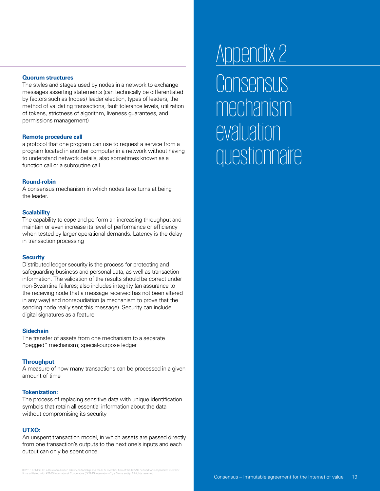#### **Quorum structures**

The styles and stages used by nodes in a network to exchange messages asserting statements (can technically be differentiated by factors such as (nodes) leader election, types of leaders, the method of validating transactions, fault tolerance levels, utilization of tokens, strictness of algorithm, liveness guarantees, and permissions management)

#### **Remote procedure call**

a protocol that one program can use to request a service from a program located in another computer in a network without having to understand network details, also sometimes known as a function call or a subroutine call

#### **Round-robin**

A consensus mechanism in which nodes take turns at being the leader.

#### **Scalability**

The capability to cope and perform an increasing throughput and maintain or even increase its level of performance or efficiency when tested by larger operational demands. Latency is the delay in transaction processing

#### **Security**

Distributed ledger security is the process for protecting and safeguarding business and personal data, as well as transaction information. The validation of the results should be correct under non-Byzantine failures; also includes integrity (an assurance to the receiving node that a message received has not been altered in any way) and nonrepudiation (a mechanism to prove that the sending node really sent this message). Security can include digital signatures as a feature

#### **Sidechain**

The transfer of assets from one mechanism to a separate "pegged" mechanism; special-purpose ledger

#### **Throughput**

A measure of how many transactions can be processed in a given amount of time

#### **Tokenization:**

The process of replacing sensitive data with unique identification symbols that retain all essential information about the data without compromising its security

#### **UTXO:**

An unspent transaction model, in which assets are passed directly from one transaction's outputs to the next one's inputs and each output can only be spent once.

## appendix 2: Appendix 2: **Consensus** mechanism evaluation questionnaire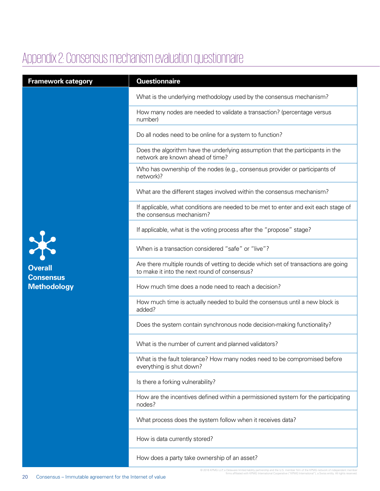### Appendix 2: Consensus mechanism evaluation questionnaire

| <b>Framework category</b>                                                         | <b>Questionnaire</b>                                                                                                               |
|-----------------------------------------------------------------------------------|------------------------------------------------------------------------------------------------------------------------------------|
| $\boldsymbol{\times}$<br><b>Overall</b><br><b>Consensus</b><br><b>Methodology</b> | What is the underlying methodology used by the consensus mechanism?                                                                |
|                                                                                   | How many nodes are needed to validate a transaction? (percentage versus<br>number)                                                 |
|                                                                                   | Do all nodes need to be online for a system to function?                                                                           |
|                                                                                   | Does the algorithm have the underlying assumption that the participants in the<br>network are known ahead of time?                 |
|                                                                                   | Who has ownership of the nodes (e.g., consensus provider or participants of<br>network)?                                           |
|                                                                                   | What are the different stages involved within the consensus mechanism?                                                             |
|                                                                                   | If applicable, what conditions are needed to be met to enter and exit each stage of<br>the consensus mechanism?                    |
|                                                                                   | If applicable, what is the voting process after the "propose" stage?                                                               |
|                                                                                   | When is a transaction considered "safe" or "live"?                                                                                 |
|                                                                                   | Are there multiple rounds of vetting to decide which set of transactions are going<br>to make it into the next round of consensus? |
|                                                                                   | How much time does a node need to reach a decision?                                                                                |
|                                                                                   | How much time is actually needed to build the consensus until a new block is<br>added?                                             |
|                                                                                   | Does the system contain synchronous node decision-making functionality?                                                            |
|                                                                                   | What is the number of current and planned validators?                                                                              |
|                                                                                   | What is the fault tolerance? How many nodes need to be compromised before<br>everything is shut down?                              |
|                                                                                   | Is there a forking vulnerability?                                                                                                  |
|                                                                                   | How are the incentives defined within a permissioned system for the participating<br>nodes?                                        |
|                                                                                   | What process does the system follow when it receives data?                                                                         |
|                                                                                   | How is data currently stored?                                                                                                      |
|                                                                                   | How does a party take ownership of an asset?                                                                                       |

© 2016 KPMG LLP, a Delaware limited liability partnership and the U.S. member firm of the KPMG firms affiliated with KPMG International Cooperative ("KPMG International"), a Swiss entity. All rights reserved.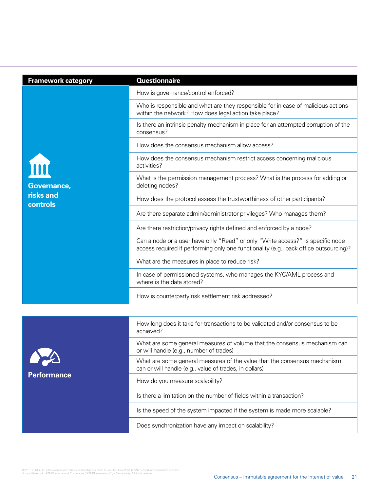| <b>Framework category</b>            | <b>Questionnaire</b>                                                                                                                                                    |
|--------------------------------------|-------------------------------------------------------------------------------------------------------------------------------------------------------------------------|
| Governance,<br>risks and<br>controls | How is governance/control enforced?                                                                                                                                     |
|                                      | Who is responsible and what are they responsible for in case of malicious actions<br>within the network? How does legal action take place?                              |
|                                      | Is there an intrinsic penalty mechanism in place for an attempted corruption of the<br>consensus?                                                                       |
|                                      | How does the consensus mechanism allow access?                                                                                                                          |
|                                      | How does the consensus mechanism restrict access concerning malicious<br>activities?                                                                                    |
|                                      | What is the permission management process? What is the process for adding or<br>deleting nodes?                                                                         |
|                                      | How does the protocol assess the trustworthiness of other participants?                                                                                                 |
|                                      | Are there separate admin/administrator privileges? Who manages them?                                                                                                    |
|                                      | Are there restriction/privacy rights defined and enforced by a node?                                                                                                    |
|                                      | Can a node or a user have only "Read" or only "Write access?" Is specific node<br>access required if performing only one functionality (e.g., back office outsourcing)? |
|                                      | What are the measures in place to reduce risk?                                                                                                                          |
|                                      | In case of permissioned systems, who manages the KYC/AML process and<br>where is the data stored?                                                                       |
|                                      | How is counterparty risk settlement risk addressed?                                                                                                                     |
|                                      |                                                                                                                                                                         |
|                                      | How long does it take for transactions to be validated and/or consensus to be<br>achieved?                                                                              |



What are some general measures of volume that the consensus mechanism can or will handle (e.g., number of trades)

What are some general measures of the value that the consensus mechanism can or will handle (e.g., value of trades, in dollars)

How do you measure scalability?

Is there a limitation on the number of fields within a transaction?

Is the speed of the system impacted if the system is made more scalable?

Does synchronization have any impact on scalability?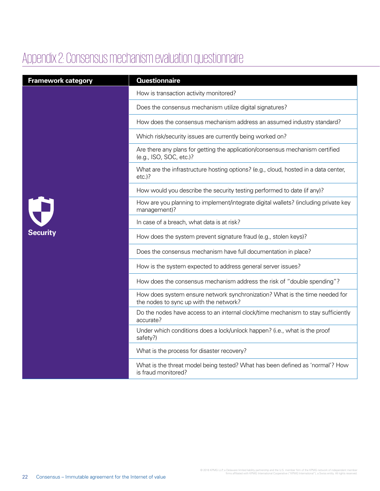### Appendix 2: Consensus mechanism evaluation questionnaire

| <b>Framework category</b>             | <b>Questionnaire</b>                                                                                                  |
|---------------------------------------|-----------------------------------------------------------------------------------------------------------------------|
| $\hat{\mathbf{y}}$<br><b>Security</b> | How is transaction activity monitored?                                                                                |
|                                       | Does the consensus mechanism utilize digital signatures?                                                              |
|                                       | How does the consensus mechanism address an assumed industry standard?                                                |
|                                       | Which risk/security issues are currently being worked on?                                                             |
|                                       | Are there any plans for getting the application/consensus mechanism certified<br>(e.g., ISO, SOC, etc.)?              |
|                                       | What are the infrastructure hosting options? (e.g., cloud, hosted in a data center,<br>$etc.$ )?                      |
|                                       | How would you describe the security testing performed to date (if any)?                                               |
|                                       | How are you planning to implement/integrate digital wallets? (including private key<br>management)?                   |
|                                       | In case of a breach, what data is at risk?                                                                            |
|                                       | How does the system prevent signature fraud (e.g., stolen keys)?                                                      |
|                                       | Does the consensus mechanism have full documentation in place?                                                        |
|                                       | How is the system expected to address general server issues?                                                          |
|                                       | How does the consensus mechanism address the risk of "double spending"?                                               |
|                                       | How does system ensure network synchronization? What is the time needed for<br>the nodes to sync up with the network? |
|                                       | Do the nodes have access to an internal clock/time mechanism to stay sufficiently<br>accurate?                        |
|                                       | Under which conditions does a lock/unlock happen? (i.e., what is the proof<br>safety?)                                |
|                                       | What is the process for disaster recovery?                                                                            |
|                                       | What is the threat model being tested? What has been defined as 'normal'? How<br>is fraud monitored?                  |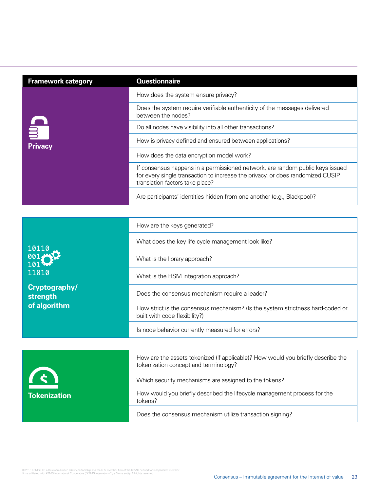| <b>Framework category</b>  | <b>Questionnaire</b>                                                                                                                                                                               |
|----------------------------|----------------------------------------------------------------------------------------------------------------------------------------------------------------------------------------------------|
| <b>S</b><br><b>Privacy</b> | How does the system ensure privacy?                                                                                                                                                                |
|                            | Does the system require verifiable authenticity of the messages delivered<br>between the nodes?                                                                                                    |
|                            | Do all nodes have visibility into all other transactions?                                                                                                                                          |
|                            | How is privacy defined and ensured between applications?                                                                                                                                           |
|                            | How does the data encryption model work?                                                                                                                                                           |
|                            | If consensus happens in a permissioned network, are random public keys issued<br>for every single transaction to increase the privacy, or does randomized CUSIP<br>translation factors take place? |
|                            | Are participants' identities hidden from one another (e.g., Blackpool)?                                                                                                                            |

|                               | How are the keys generated?                                                                                               |
|-------------------------------|---------------------------------------------------------------------------------------------------------------------------|
| 10110                         | What does the key life cycle management look like?                                                                        |
|                               | What is the library approach?                                                                                             |
| 11010                         | What is the HSM integration approach?                                                                                     |
| Cryptography/<br>strength     | Does the consensus mechanism require a leader?                                                                            |
| of algorithm                  | How strict is the consensus mechanism? (Is the system strictness hard-coded or<br>built with code flexibility?)           |
|                               | Is node behavior currently measured for errors?                                                                           |
|                               |                                                                                                                           |
|                               | How are the assets tokenized (if applicable)? How would you briefly describe the<br>tokenization concept and terminology? |
| $\leq$<br><b>Tokenization</b> | Which security mechanisms are assigned to the tokens?                                                                     |
|                               | How would you briefly described the lifecycle management process for the<br>tokens?                                       |
|                               | Does the consensus mechanism utilize transaction signing?                                                                 |

© 2016 KPMG LLP, a Delaware limited liability partnership and the U.S. member firm of the KPMG network of independent member<br>firms affiliated with KPMG International Cooperative ("KPMG International"), a Swiss entity. All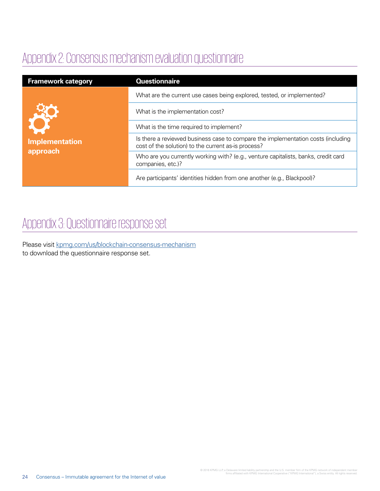### Appendix 2: Consensus mechanism evaluation questionnaire

| <b>Framework category</b>                | <b>Questionnaire</b>                                                                                                                    |
|------------------------------------------|-----------------------------------------------------------------------------------------------------------------------------------------|
| För<br><b>Implementation</b><br>approach | What are the current use cases being explored, tested, or implemented?                                                                  |
|                                          | What is the implementation cost?                                                                                                        |
|                                          | What is the time required to implement?                                                                                                 |
|                                          | Is there a reviewed business case to compare the implementation costs (including<br>cost of the solution) to the current as-is process? |
|                                          | Who are you currently working with? (e.g., venture capitalists, banks, credit card<br>companies, etc.)?                                 |
|                                          | Are participants' identities hidden from one another (e.g., Blackpool)?                                                                 |

### Appendix 3: Questionnaire response set

Please visit [kpmg.com/us/blockchain-consensus-mechanism](http://www.kpmg.com/us/blockchain-consensus-mechanism) to download the questionnaire response set.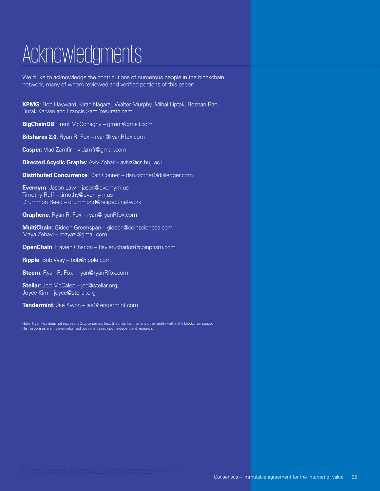## Acknowledgments

We'd like to acknowledge the contributions of numerous people in the blockchain network, many of whom reviewed and verified portions of this paper:

**KPMG**: Bob Hayward, Kiran Nagaraj, Walter Murphy, Mihai Liptak, Roshan Rao, Burak Karvan and Francis Sam Yesurathinam

**BigChainDB**: Trent McConaghy – gtrent@gmail.com

**Bitshares 2.0**: Ryan R. Fox – ryan@ryanRfox.com

**Casper:** Vlad Zamfir – vldzmfr@gmail.com

**Directed Acyclic Graphs**: Aviv Zohar – avivz@cs.huji.ac.il

**Distributed Concurrence**: Dan Conner – dan.conner@disledger.com

**Evernym**: Jason Law – jason@evernym.us Timothy Ruff – timothy@evernym.us Drummon Reed – drummond@respect.network

**Graphene**: Ryan R. Fox – ryan@ryanRfox.com

**MultiChain**: Gideon Greenspan – gideon@coinsciences.com Maya Zehavi – mayazi@gmail.com

**OpenChain**: Flavien Charlon – flavien.charlon@coinprism.com

**Ripple**: Bob Way – bob@ripple.com

**Steem**: Ryan R. Fox – ryan@ryanRfox.com

**Stellar**: Jed McCaleb – jed@stellar.org; Joyce Kim – joyce@stellar.org

**Tendermint**: Jae Kwon – jae@tendermint.com

Note: Ryan Fox does not represent Cryptonomex, Inc., Steemit, Inc., nor any other entity within the blockchain space. His responses are his own informed opinions based upon independent research.